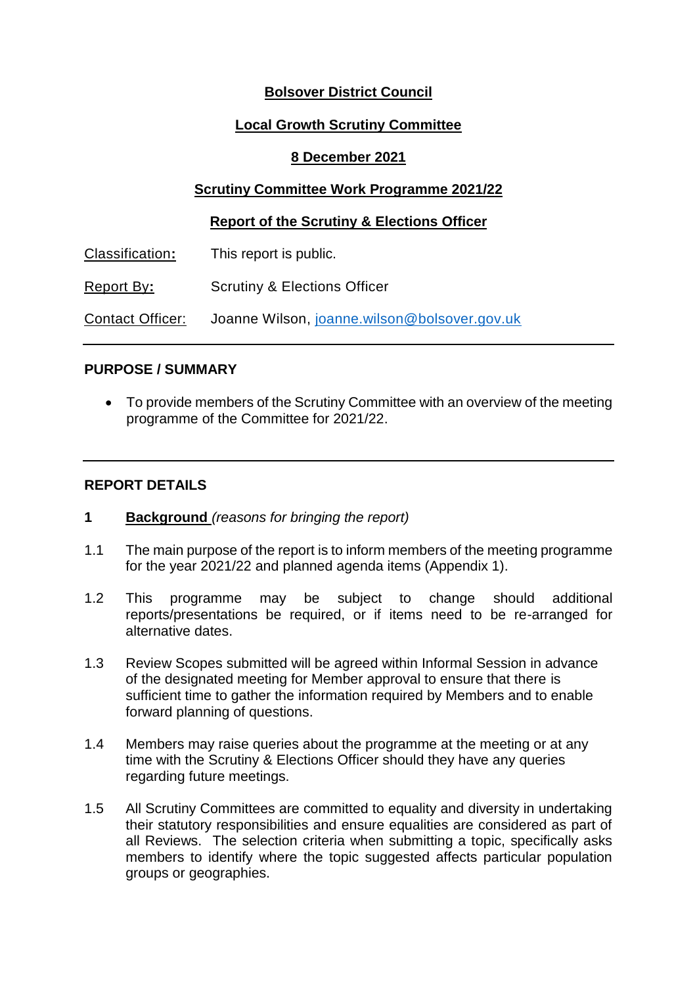# **Bolsover District Council**

## **Local Growth Scrutiny Committee**

## **8 December 2021**

# **Scrutiny Committee Work Programme 2021/22**

#### **Report of the Scrutiny & Elections Officer**

| Classification:   | This report is public.                       |
|-------------------|----------------------------------------------|
| <b>Report By:</b> | <b>Scrutiny &amp; Elections Officer</b>      |
| Contact Officer:  | Joanne Wilson, joanne.wilson@bolsover.gov.uk |

#### **PURPOSE / SUMMARY**

 To provide members of the Scrutiny Committee with an overview of the meeting programme of the Committee for 2021/22.

## **REPORT DETAILS**

- **1 Background** *(reasons for bringing the report)*
- 1.1 The main purpose of the report is to inform members of the meeting programme for the year 2021/22 and planned agenda items (Appendix 1).
- 1.2 This programme may be subject to change should additional reports/presentations be required, or if items need to be re-arranged for alternative dates.
- 1.3 Review Scopes submitted will be agreed within Informal Session in advance of the designated meeting for Member approval to ensure that there is sufficient time to gather the information required by Members and to enable forward planning of questions.
- 1.4 Members may raise queries about the programme at the meeting or at any time with the Scrutiny & Elections Officer should they have any queries regarding future meetings.
- 1.5 All Scrutiny Committees are committed to equality and diversity in undertaking their statutory responsibilities and ensure equalities are considered as part of all Reviews. The selection criteria when submitting a topic, specifically asks members to identify where the topic suggested affects particular population groups or geographies.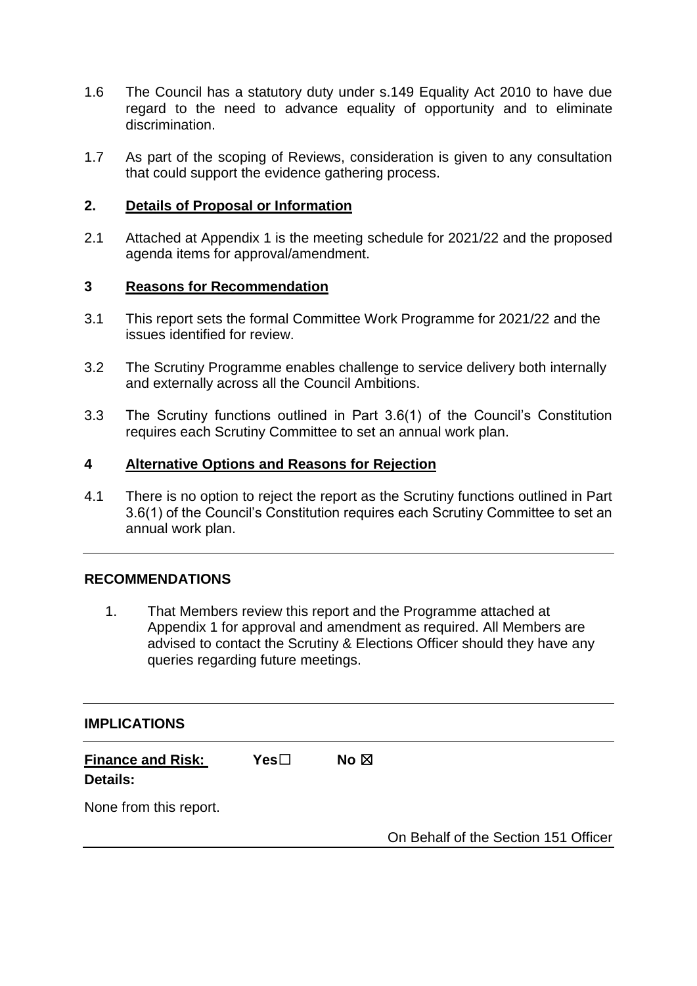- 1.6 The Council has a statutory duty under s.149 Equality Act 2010 to have due regard to the need to advance equality of opportunity and to eliminate discrimination.
- 1.7 As part of the scoping of Reviews, consideration is given to any consultation that could support the evidence gathering process.

## **2. Details of Proposal or Information**

2.1 Attached at Appendix 1 is the meeting schedule for 2021/22 and the proposed agenda items for approval/amendment.

## **3 Reasons for Recommendation**

- 3.1 This report sets the formal Committee Work Programme for 2021/22 and the issues identified for review.
- 3.2 The Scrutiny Programme enables challenge to service delivery both internally and externally across all the Council Ambitions.
- 3.3 The Scrutiny functions outlined in Part 3.6(1) of the Council's Constitution requires each Scrutiny Committee to set an annual work plan.

## **4 Alternative Options and Reasons for Rejection**

4.1 There is no option to reject the report as the Scrutiny functions outlined in Part 3.6(1) of the Council's Constitution requires each Scrutiny Committee to set an annual work plan.

# **RECOMMENDATIONS**

1. That Members review this report and the Programme attached at Appendix 1 for approval and amendment as required. All Members are advised to contact the Scrutiny & Elections Officer should they have any queries regarding future meetings.

#### **IMPLICATIONS**

| <b>Finance and Risk:</b> | Yes⊟ | No $\boxtimes$ |
|--------------------------|------|----------------|
| <b>Details:</b>          |      |                |

None from this report.

On Behalf of the Section 151 Officer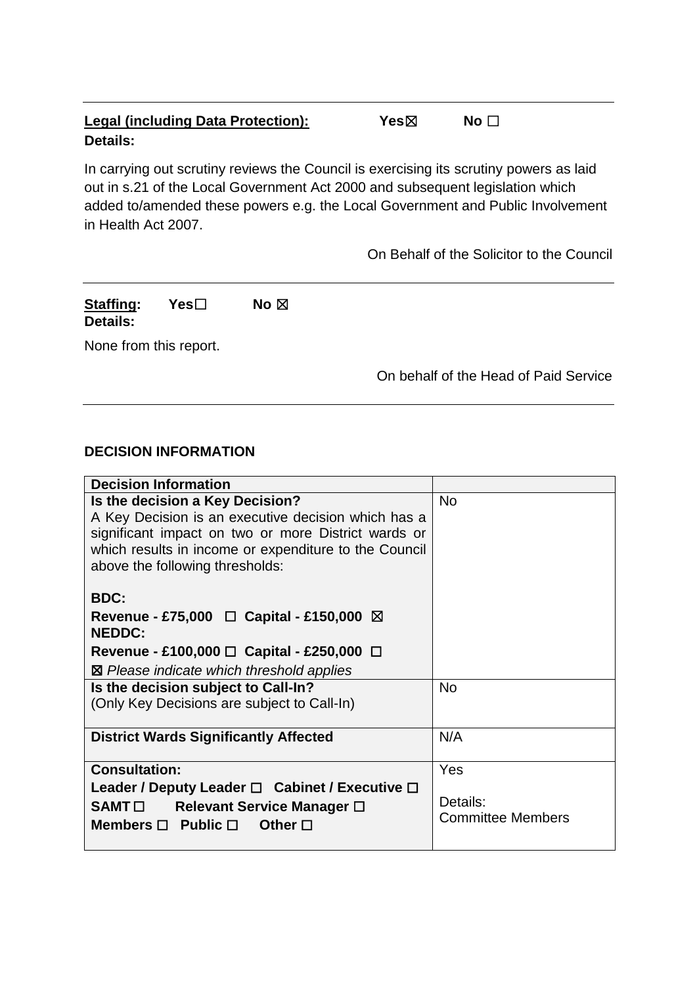# **Legal (including Data Protection):** Yes⊠ No □ **Details:**

In carrying out scrutiny reviews the Council is exercising its scrutiny powers as laid out in s.21 of the Local Government Act 2000 and subsequent legislation which added to/amended these powers e.g. the Local Government and Public Involvement in Health Act 2007.

On Behalf of the Solicitor to the Council

# **Staffing: Yes**☐ **No** ☒ **Details:**

None from this report.

On behalf of the Head of Paid Service

#### **DECISION INFORMATION**

| <b>Decision Information</b>                                                                                                                                                                                                               |                                      |
|-------------------------------------------------------------------------------------------------------------------------------------------------------------------------------------------------------------------------------------------|--------------------------------------|
| Is the decision a Key Decision?<br>A Key Decision is an executive decision which has a<br>significant impact on two or more District wards or<br>which results in income or expenditure to the Council<br>above the following thresholds: | <b>No</b>                            |
| <b>BDC:</b>                                                                                                                                                                                                                               |                                      |
| Revenue - £75,000 $\Box$ Capital - £150,000 $\boxtimes$<br><b>NEDDC:</b>                                                                                                                                                                  |                                      |
| Revenue - £100,000 $\Box$ Capital - £250,000 $\Box$                                                                                                                                                                                       |                                      |
| ⊠ Please indicate which threshold applies                                                                                                                                                                                                 |                                      |
| Is the decision subject to Call-In?                                                                                                                                                                                                       | <b>No</b>                            |
| (Only Key Decisions are subject to Call-In)                                                                                                                                                                                               |                                      |
| <b>District Wards Significantly Affected</b>                                                                                                                                                                                              | N/A                                  |
| <b>Consultation:</b>                                                                                                                                                                                                                      | Yes                                  |
| Leader / Deputy Leader $\square$ Cabinet / Executive $\square$<br>SAMT□ Relevant Service Manager □<br>Members $\Box$ Public $\Box$<br>Other $\Box$                                                                                        | Details:<br><b>Committee Members</b> |